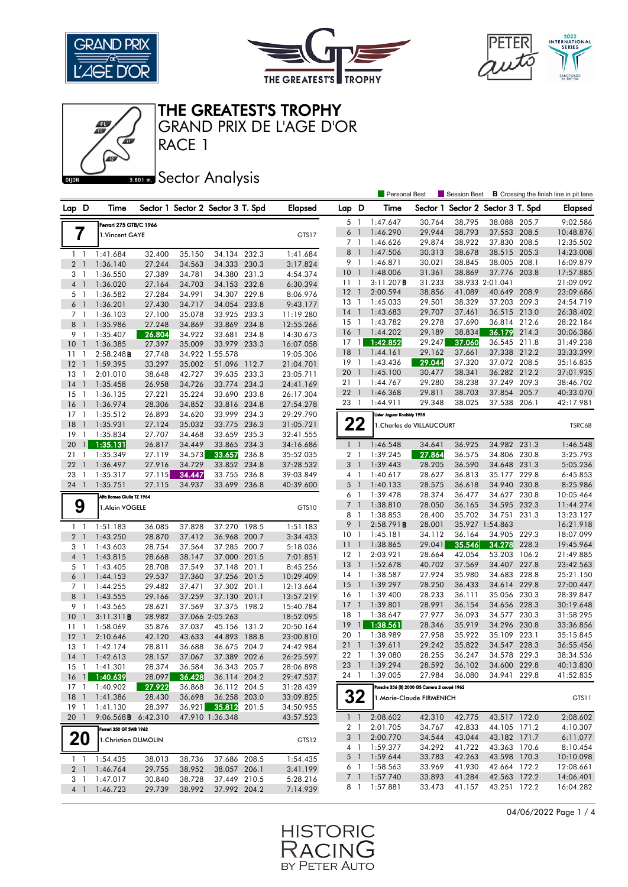





RACE 1 GRAND PRIX DE L'AGE D'OR

# **BROT** Sector Analysis

|                 |                          |                            |        |                                   |                 |       |                |                 |                | Personal Best                                |                           | Session Best                      |                 |       | <b>B</b> Crossing the finish line in pit lane |
|-----------------|--------------------------|----------------------------|--------|-----------------------------------|-----------------|-------|----------------|-----------------|----------------|----------------------------------------------|---------------------------|-----------------------------------|-----------------|-------|-----------------------------------------------|
| Lap D           |                          | Time                       |        | Sector 1 Sector 2 Sector 3 T. Spd |                 |       | <b>Elapsed</b> | Lap D           |                | Time                                         |                           | Sector 1 Sector 2 Sector 3 T. Spd |                 |       | <b>Elapsed</b>                                |
|                 |                          | Ferrari 275 GTB/C 1966     |        |                                   |                 |       |                | 5               | $\overline{1}$ | 1:47.647                                     | 30.764                    | 38.795                            | 38.088 205.7    |       | 9:02.586                                      |
|                 |                          | 1. Vincent GAYE            |        |                                   |                 |       | GTS17          | 6               | $\overline{1}$ | 1:46.290                                     | 29.944                    | 38.793                            | 37.553 208.5    |       | 10:48.876                                     |
|                 | I                        |                            |        |                                   |                 |       |                | 7 1             |                | 1:46.626                                     | 29.874                    | 38.922                            | 37.830          | 208.5 | 12:35.502                                     |
|                 | $1\quad$                 | 1:41.684                   | 32.400 | 35.150                            | 34.134 232.3    |       | 1:41.684       | 8               | $\overline{1}$ | 1:47.506                                     | 30.313                    | 38.678                            | 38.515 205.3    |       | 14:23.008                                     |
|                 | 2 <sub>1</sub>           | 1:36.140                   | 27.244 | 34.563                            | 34.333 230.3    |       | 3:17.824       | 9 1             |                | 1:46.871                                     | 30.021                    | 38.845                            | 38.005 208.1    |       | 16:09.879                                     |
| 3               | - 1                      | 1:36.550                   | 27.389 | 34.781                            | 34.380 231.3    |       | 4:54.374       | 10 <sub>1</sub> |                | 1:48.006                                     | 31.361                    | 38.869                            | 37.776          | 203.8 | 17:57.885                                     |
| $\overline{4}$  | $\mathbf{1}$             | 1:36.020                   | 27.164 | 34.703                            | 34.153 232.8    |       | 6:30.394       | $11-1$          |                | 3:11.207B                                    | 31.233                    |                                   | 38.933 2:01.041 |       | 21:09.092                                     |
|                 | 5 1                      | 1:36.582                   | 27.284 | 34.991                            | 34.307 229.8    |       | 8:06.976       | 12              | $\overline{1}$ | 2:00.594                                     | 38.856                    | 41.089                            | 40.649          | 208.9 | 23:09.686                                     |
| 6 <sup>1</sup>  |                          | 1:36.201                   | 27.430 | 34.717                            | 34.054          | 233.8 | 9:43.177       | $13-1$          |                | 1:45.033                                     | 29.501                    | 38.329                            | 37.203 209.3    |       | 24:54.719                                     |
|                 | 7 <sub>1</sub>           | 1:36.103                   | 27.100 | 35.078                            | 33.925 233.3    |       | 11:19.280      | $14-1$          |                | 1:43.683                                     | 29.707                    | 37.461                            | 36.515 213.0    |       | 26:38.402                                     |
| 8               | $\overline{1}$           | 1:35.986                   | 27.248 | 34.869                            | 33.869 234.8    |       | 12:55.266      | 15              | $\overline{1}$ | 1:43.782                                     | 29.278                    | 37.690                            | 36.814 212.6    |       | 28:22.184                                     |
|                 | 9 1                      | 1:35.407                   | 26.804 | 34.922                            | 33.681          | 234.8 | 14:30.673      | 16              | $\overline{1}$ | 1:44.202                                     | 29.189                    | 38.834                            | 36.179          | 214.3 | 30:06.386                                     |
| 10              | $\overline{1}$           | 1:36.385                   | 27.397 | 35.009                            | 33.979 233.3    |       | 16:07.058      | 17              | $\overline{1}$ | 1:42.852                                     | 29.247                    | 37.060                            | 36.545          | 211.8 | 31:49.238                                     |
| 11              | -1                       | $2:58.248$ <b>B</b>        | 27.748 |                                   | 34.922 1:55.578 |       | 19:05.306      | 18              | $\overline{1}$ | 1:44.161                                     | 29.162                    | 37.661                            | 37.338 212.2    |       | 33:33.399                                     |
| 12              | $\overline{1}$           | 1:59.395                   | 33.297 | 35.002                            | 51.096          | 112.7 | 21:04.701      | 19              | $\overline{1}$ | 1:43.436                                     | 29.044                    | 37.320                            | 37.072 208.5    |       | 35:16.835                                     |
| 13              | -1                       | 2:01.010                   | 38.648 | 42.727                            | 39.635 233.3    |       | 23:05.711      | 20              | $\overline{1}$ | 1:45.100                                     | 30.477                    | 38.341                            | 36.282 212.2    |       | 37:01.935                                     |
| 14              | $\overline{1}$           | 1:35.458                   | 26.958 | 34.726                            | 33.774 234.3    |       | 24:41.169      | 211             |                | 1:44.767                                     | 29.280                    | 38.238                            | 37.249 209.3    |       | 38:46.702                                     |
| 15              | -1                       | 1:36.135                   | 27.221 | 35.224                            | 33.690 233.8    |       | 26:17.304      | 221             |                | 1:46.368                                     | 29.811                    | 38.703                            | 37.854          | 205.7 | 40:33.070                                     |
| 16              | $\mathbf{1}$             | 1:36.974                   | 28.306 | 34.852                            | 33.816 234.8    |       | 27:54.278      | 23 1            |                | 1:44.911                                     | 29.348                    | 38.025                            | 37.538 206.1    |       | 42:17.981                                     |
| $17-1$          |                          | 1:35.512                   | 26.893 | 34.620                            | 33.999 234.3    |       | 29:29.790      |                 |                | Lister Jaguar Knobbly 1958                   |                           |                                   |                 |       |                                               |
| 18              | $\mathbf{1}$             | 1:35.931                   | 27.124 | 35.032                            | 33.775          | 236.3 | 31:05.721      | 22              |                |                                              | 1. Charles de VILLAUCOURT |                                   |                 |       | TSRC6B                                        |
| 19              | -1                       | 1:35.834                   | 27.707 | 34.468                            | 33.659 235.3    |       | 32:41.555      |                 |                |                                              |                           |                                   |                 |       |                                               |
| 20              | $\mathbf{1}$             | 1:35.131                   | 26.817 | 34.449                            | 33.865          | 234.3 | 34:16.686      | $1\quad$        |                | 1:46.548                                     | 34.641                    | 36.925                            | 34.982 231.3    |       | 1:46.548                                      |
| 21              | $\mathbf{1}$             | 1:35.349                   | 27.119 | 34.573                            | 33.657          | 236.8 | 35:52.035      | $\mathbf{2}$    | -1             | 1:39.245                                     | 27.864                    | 36.575                            | 34.806 230.8    |       | 3:25.793                                      |
| 22              | - 1                      | 1:36.497                   | 27.916 | 34.729                            | 33.852 234.8    |       | 37:28.532      | 3 <sup>1</sup>  |                | 1:39.443                                     | 28.205                    | 36.590                            | 34.648 231.3    |       | 5:05.236                                      |
| 23              | $\overline{1}$           | 1:35.317                   | 27.115 | 34.447                            | 33.755          | 236.8 | 39:03.849      | 4 <sub>1</sub>  |                | 1:40.617                                     | 28.627                    | 36.813                            | 35.177 229.8    |       | 6:45.853                                      |
| 24 1            |                          | 1:35.751                   | 27.115 | 34.937                            | 33.699 236.8    |       | 40:39.600      | $5-1$           |                | 1:40.133                                     | 28.575                    | 36.618                            | 34.940 230.8    |       | 8:25.986                                      |
|                 |                          | Alfa Romeo Giulia TZ 1964  |        |                                   |                 |       |                | 6               | - 1            | 1:39.478                                     | 28.374                    | 36.477                            | 34.627 230.8    |       | 10:05.464                                     |
|                 | 9                        | 1. Alain VÖGELE            |        |                                   |                 |       | GTS10          | $7\overline{ }$ | - 1            | 1:38.810                                     | 28.050                    | 36.165                            | 34.595 232.3    |       | 11:44.274                                     |
|                 |                          |                            |        |                                   |                 |       |                | 8               | $\overline{1}$ | 1:38.853                                     | 28.400                    | 35.702                            | 34.751          | 231.3 | 13:23.127                                     |
|                 | $1\quad$                 | 1:51.183                   | 36.085 | 37.828                            | 37.270 198.5    |       | 1:51.183       | 9               | $\overline{1}$ | 2:58.791B                                    | 28.001                    |                                   | 35.927 1:54.863 |       | 16:21.918                                     |
| 2 <sub>1</sub>  |                          | 1:43.250                   | 28.870 | 37.412                            | 36.968 200.7    |       | 3:34.433       | 10 <sub>1</sub> |                | 1:45.181                                     | 34.112                    | 36.164                            | 34.905          | 229.3 | 18:07.099                                     |
|                 | 3 1                      | 1:43.603                   | 28.754 | 37.564                            | 37.285 200.7    |       | 5:18.036       | 11              | $\overline{1}$ | 1:38.865                                     | 29.041                    | 35.546                            | 34.278          | 228.3 | 19:45.964                                     |
| 4 <sup>1</sup>  |                          | 1:43.815                   | 28.668 | 38.147                            | 37.000          | 201.5 | 7:01.851       | 12 <sup>°</sup> | $\overline{1}$ | 2:03.921                                     | 28.664                    | 42.054                            | 53.203 106.2    |       | 21:49.885                                     |
|                 | 5 1                      | 1:43.405                   | 28.708 | 37.549                            | 37.148          | 201.1 | 8:45.256       | 13              | $\overline{1}$ | 1:52.678                                     | 40.702                    | 37.569                            | 34.407 227.8    |       | 23:42.563                                     |
| 6               | -1                       | 1:44.153                   | 29.537 | 37.360                            | 37.256          | 201.5 | 10:29.409      | 14              | -1             | 1:38.587                                     | 27.924                    | 35.980                            | 34.683 228.8    |       | 25:21.150                                     |
|                 | 7 <sup>1</sup>           | 1:44.255                   | 29.482 | 37.471                            | 37.302 201.1    |       | 12:13.664      | 15              | $\overline{1}$ | 1:39.297                                     | 28.250                    | 36.433                            | 34.614 229.8    |       | 27:00.447                                     |
| 8               | $\mathbf{1}$             | 1:43.555                   | 29.166 | 37.259                            | 37.130 201.1    |       | 13:57.219      | $16-1$          |                | 1:39.400                                     | 28.233                    | 36.111                            | 35.056 230.3    |       | 28:39.847                                     |
| 9               | -1                       | 1:43.565                   | 28.621 | 37.569                            | 37.375          | 198.2 | 15:40.784      | 17              | $\overline{1}$ | 1:39.801                                     | 28.991                    | 36.154                            | 34.656 228.3    |       | 30:19.648                                     |
| 10              | $\bigcirc$               | 3:11.311B                  | 28.982 |                                   | 37.066 2:05.263 |       | 18:52.095      | 18              | -1             | 1:38.647                                     | 27.977                    | 36.093                            | 34.577          | 230.3 | 31:58.295                                     |
| 11              | $\overline{1}$           | 1:58.069                   | 35.876 | 37.037                            | 45.156 131.2    |       | 20:50.164      | 19              | $\mathbf{1}$   | 1:38.561                                     | 28.346                    | 35.919                            | 34.296 230.8    |       | 33:36.856                                     |
| 12              | $\mathbf{1}$             | 2:10.646                   | 42.120 | 43.633                            | 44.893          | 188.8 | 23:00.810      | 20              | -1             | 1:38.989                                     | 27.958                    | 35.922                            | 35.109 223.1    |       | 35:15.845                                     |
| 13              | 1                        | 1:42.174                   | 28.811 | 36.688                            | 36.675 204.2    |       | 24:42.984      | 21              | $\overline{1}$ | 1:39.611                                     | 29.242                    | 35.822                            | 34.547 228.3    |       | 36:55.456                                     |
| 14              | $\overline{\phantom{a}}$ | 1:42.613                   | 28.157 | 37.067                            | 37.389 202.6    |       | 26:25.597      |                 |                | 22 1 1:39.080                                | 28.255                    | 36.247                            | 34.578 229.3    |       | 38:34.536                                     |
|                 |                          | 15 1 1:41.301              | 28.374 | 36.584                            | 36.343 205.7    |       | 28:06.898      |                 |                | 23 1 1:39.294                                | 28.592                    | 36.102                            | 34.600 229.8    |       | 40:13.830                                     |
| 16 <sub>1</sub> |                          | 1:40.639                   | 28.097 | 36.428                            | 36.114 204.2    |       | 29:47.537      | 24 1            |                | 1:39.005                                     | 27.984                    | 36.080                            | 34.941 229.8    |       | 41:52.835                                     |
| 17 1            |                          | 1:40.902                   | 27.922 | 36.868                            | 36.112 204.5    |       | 31:28.439      |                 |                | Porsche 356 (B) 2000 GS Carrera 2 coupé 1962 |                           |                                   |                 |       |                                               |
| $18-1$          |                          | 1:41.386                   | 28.430 | 36.698                            | 36.258 203.0    |       | 33:09.825      | 32              |                | 1.Marie-Claude FIRMENICH                     |                           |                                   |                 |       | GTS11                                         |
| $19-1$          |                          | 1:41.130                   | 28.397 | 36.921                            | 35.812          | 201.5 | 34:50.955      |                 |                |                                              |                           |                                   |                 |       |                                               |
| 201             |                          | 9:06.568 <b>B</b> 6:42.310 |        |                                   | 47.910 1:36.348 |       | 43:57.523      | 1 <sub>1</sub>  |                | 2:08.602                                     | 42.310                    | 42.775                            | 43.517 172.0    |       | 2:08.602                                      |
|                 |                          | Ferrari 250 GT SWB 1962    |        |                                   |                 |       |                | 2 1             |                | 2:01.705                                     | 34.767                    | 42.833                            | 44.105 171.2    |       | 4:10.307                                      |
|                 | 20                       | 1. Christian DUMOLIN       |        |                                   |                 |       | GTS12          | 3 1             |                | 2:00.770                                     | 34.544                    | 43.044                            | 43.182 171.7    |       | 6:11.077                                      |
|                 |                          |                            |        |                                   |                 |       |                | 4 1             |                | 1:59.377                                     | 34.292                    | 41.722                            | 43.363 170.6    |       | 8:10.454                                      |
|                 | $1\quad1$                | 1:54.435                   | 38.013 | 38.736                            | 37.686 208.5    |       | 1:54.435       | 5 1             |                | 1:59.644                                     | 33.783                    | 42.263                            | 43.598 170.3    |       | 10:10.098                                     |
|                 | 2 <sub>1</sub>           | 1:46.764                   | 29.755 | 38.952                            | 38.057 206.1    |       | 3:41.199       | 61              |                | 1:58.563                                     | 33.969                    | 41.930                            | 42.664 172.2    |       | 12:08.661                                     |
|                 | 31                       | 1:47.017                   | 30.840 | 38.728                            | 37.449 210.5    |       | 5:28.216       | 7 <sup>1</sup>  |                | 1:57.740                                     | 33.893                    | 41.284                            | 42.563 172.2    |       | 14:06.401                                     |
|                 |                          | 1:46.723                   | 29.739 | 38.992                            | 37.992 204.2    |       | 7:14.939       | 8 1             |                | 1:57.881                                     | 33.473                    | 41.157                            | 43.251 172.2    |       | 16:04.282                                     |

04/06/2022 Page 1 / 4

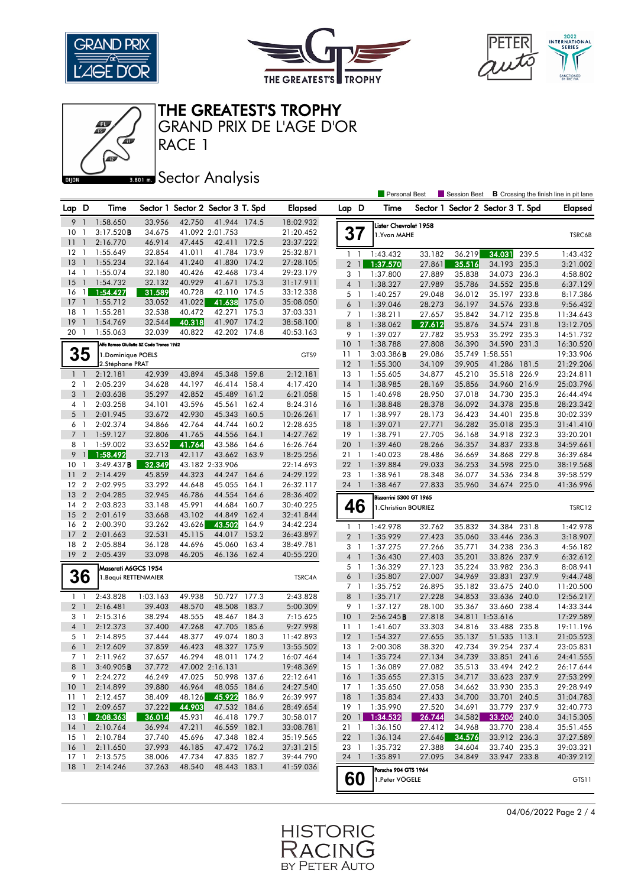





RACE 1 GRAND PRIX DE L'AGE D'OR

# **BROT** Sector Analysis

|                 |                          |                      |                                          |        |                                   |       |                |                |                          | <b>Personal Best</b>    |        | Session Best                      |                 |       | <b>B</b> Crossing the finish line in pit lane |
|-----------------|--------------------------|----------------------|------------------------------------------|--------|-----------------------------------|-------|----------------|----------------|--------------------------|-------------------------|--------|-----------------------------------|-----------------|-------|-----------------------------------------------|
| Lap D           |                          | Time                 |                                          |        | Sector 1 Sector 2 Sector 3 T. Spd |       | <b>Elapsed</b> | Lap D          |                          | Time                    |        | Sector 1 Sector 2 Sector 3 T. Spd |                 |       | <b>Elapsed</b>                                |
| 9               | $\mathbf{1}$             | 1:58.650             | 33.956                                   | 42.750 | 41.944 174.5                      |       | 18:02.932      |                |                          | Lister Chevrolet 1958   |        |                                   |                 |       |                                               |
| 10              | -1                       | 3:17.520B            | 34.675                                   |        | 41.092 2:01.753                   |       | 21:20.452      |                | 37                       | 1.Yvan MAHE             |        |                                   |                 |       | TSRC6B                                        |
| 11              | $\overline{1}$           | 2:16.770             | 46.914                                   | 47.445 | 42.411                            | 172.5 | 23:37.222      |                |                          |                         |        |                                   |                 |       |                                               |
| 12              | -1                       | 1:55.649             | 32.854                                   | 41.011 | 41.784                            | 173.9 | 25:32.871      | $1\quad$       |                          | 1:43.432                | 33.182 | 36.219                            | 34.031          | 239.5 | 1:43.432                                      |
| 13              | $\overline{\phantom{a}}$ | 1:55.234             | 32.164                                   | 41.240 | 41.830                            | 174.2 | 27:28.105      | $\overline{2}$ | $\overline{1}$           | 1:37.570                | 27.861 | 35.516                            | 34.193 235.3    |       | 3:21.002                                      |
| 14              | $\overline{1}$           | 1:55.074             | 32.180                                   | 40.426 | 42.468                            | 173.4 | 29:23.179      | 3              | -1                       | 1:37.800                | 27.889 | 35.838                            | 34.073 236.3    |       | 4:58.802                                      |
| 15              | $\overline{1}$           | 1:54.732             | 32.132                                   | 40.929 | 41.671                            | 175.3 | 31:17.911      | $\overline{4}$ | $\overline{1}$           | 1:38.327                | 27.989 | 35.786                            | 34.552 235.8    |       | 6:37.129                                      |
| 16              | $\overline{1}$           | 1:54.427             | 31.589                                   | 40.728 | 42.110                            | 174.5 | 33:12.338      | 5 1            |                          | 1:40.257                | 29.048 | 36.012                            | 35.197 233.8    |       | 8:17.386                                      |
| 17              | $\mathbf{1}$             | 1:55.712             | 33.052                                   | 41.022 | 41.638                            | 175.0 | 35:08.050      | 6              | -1                       | 1:39.046                | 28.273 | 36.197                            | 34.576          | 233.8 | 9:56.432                                      |
| 18              | -1                       | 1:55.281             | 32.538                                   | 40.472 | 42.271                            | 175.3 | 37:03.331      | 7 <sup>1</sup> |                          | 1:38.211                | 27.657 | 35.842                            | 34.712 235.8    |       | 11:34.643                                     |
| 19              | $\overline{\phantom{a}}$ | 1:54.769             | 32.544                                   | 40.318 | 41.907                            | 174.2 | 38:58.100      | 8              | -1                       | 1:38.062                | 27.612 | 35.876                            | 34.574 231.8    |       | 13:12.705                                     |
| 20 1            |                          | 1:55.063             | 32.039                                   | 40.822 | 42.202 174.8                      |       | 40:53.163      | 9              | $\overline{1}$           | 1:39.027                | 27.782 | 35.953                            | 35.292 235.3    |       | 14:51.732                                     |
|                 |                          |                      | Alfa Romeo Giulietta SZ Coda Tronca 1962 |        |                                   |       |                | 10             | $\overline{1}$           | 1:38.788                | 27.808 | 36.390                            | 34.590 231.3    |       | 16:30.520                                     |
| 35              |                          | 1.Dominique POELS    |                                          |        |                                   |       | GTS9           | 11             | $\overline{\phantom{0}}$ | 3:03.386B               | 29.086 |                                   | 35.749 1:58.551 |       | 19:33.906                                     |
|                 |                          | 2.Stéphane PRAT      |                                          |        |                                   |       |                | 12             | $\overline{1}$           | 1:55.300                | 34.109 | 39.905                            | 41.286          | 181.5 | 21:29.206                                     |
| $1\quad$        |                          | 2:12.181             | 42.939                                   | 43.894 | 45.348                            | 159.8 | 2:12.181       | 13             | - 1                      | 1:55.605                | 34.877 | 45.210                            | 35.518 226.9    |       | 23:24.811                                     |
| 2 <sub>1</sub>  |                          | 2:05.239             | 34.628                                   | 44.197 | 46.414 158.4                      |       | 4:17.420       | 14             | $\overline{1}$           | 1:38.985                | 28.169 | 35.856                            | 34.960 216.9    |       | 25:03.796                                     |
| 3               | $\mathbf{1}$             | 2:03.638             | 35.297                                   | 42.852 | 45.489                            | 161.2 | 6:21.058       | $15-1$         |                          | 1:40.698                | 28.950 | 37.018                            | 34.730 235.3    |       | 26:44.494                                     |
| 4               | $\overline{1}$           | 2:03.258             | 34.101                                   | 43.596 | 45.561                            | 162.4 | 8:24.316       | $16-1$         |                          | 1:38.848                | 28.378 | 36.092                            | 34.378 235.8    |       | 28:23.342                                     |
| 5               | $\overline{1}$           | 2:01.945             | 33.672                                   | 42.930 | 45.343                            | 160.5 | 10:26.261      | $17-1$         |                          | 1:38.997                | 28.173 | 36.423                            | 34.401 235.8    |       | 30:02.339                                     |
| 6               | -1                       | 2:02.374             | 34.866                                   | 42.764 | 44.744                            | 160.2 | 12:28.635      | 18             | $\overline{1}$           | 1:39.071                | 27.771 | 36.282                            | 35.018 235.3    |       | 31:41.410                                     |
| $7\overline{ }$ | $\mathbf{1}$             | 1:59.127             | 32.806                                   | 41.765 | 44.556                            | 164.1 | 14:27.762      | 19             | -1                       | 1:38.791                | 27.705 | 36.168                            | 34.918 232.3    |       | 33:20.201                                     |
| 8               | $\mathbf{1}$             | 1:59.002             | 33.652                                   | 41.764 | 43.586                            | 164.6 | 16:26.764      | 20             | $\mathbf{1}$             | 1:39.460                | 28.266 | 36.357                            | 34.837          | 233.8 | 34:59.661                                     |
| 9               | $\mathbf{u}$             | 1:58.492             | 32.713                                   | 42.117 | 43.662                            | 163.9 | 18:25.256      | 21             | -1                       | 1:40.023                | 28.486 | 36.669                            | 34.868 229.8    |       | 36:39.684                                     |
| 10              | -1                       | 3:49.437B            | 32.349                                   |        | 43.182 2:33.906                   |       | 22:14.693      | 22             | $\overline{1}$           | 1:39.884                | 29.033 | 36.253                            | 34.598 225.0    |       | 38:19.568                                     |
| 11              | $\overline{2}$           | 2:14.429             | 45.859                                   | 44.323 | 44.247                            | 164.6 | 24:29.122      | 23             | $\overline{1}$           | 1:38.961                | 28.348 | 36.077                            | 34.536 234.8    |       | 39:58.529                                     |
| 12              | $\overline{2}$           | 2:02.995             | 33.292                                   | 44.648 | 45.055                            | 164.1 | 26:32.117      | 24 1           |                          | 1:38.467                | 27.833 | 35.960                            | 34.674 225.0    |       | 41:36.996                                     |
| 13              | $\overline{2}$           | 2:04.285             | 32.945                                   | 46.786 | 44.554                            | 164.6 | 28:36.402      |                |                          |                         |        |                                   |                 |       |                                               |
| 14              | $\overline{2}$           | 2:03.823             | 33.148                                   | 45.991 | 44.684                            | 160.7 | 30:40.225      |                |                          | Bizzarrini 5300 GT 1965 |        |                                   |                 |       |                                               |
| 15              | $\overline{2}$           | 2:01.619             | 33.668                                   | 43.102 | 44.849                            | 162.4 | 32:41.844      |                | 46                       | 1. Christian BOURIEZ    |        |                                   |                 |       | TSRC12                                        |
| 16              | $\overline{2}$           | 2:00.390             | 33.262                                   | 43.626 | 43.502                            | 164.9 | 34:42.234      |                |                          |                         |        |                                   |                 |       |                                               |
| 17              | $\overline{2}$           | 2:01.663             | 32.531                                   | 45.115 | 44.017                            | 153.2 | 36:43.897      | $1\quad$       |                          | 1:42.978                | 32.762 | 35.832                            | 34.384          | 231.8 | 1:42.978                                      |
| 18              | $\overline{2}$           | 2:05.884             | 36.128                                   | 44.696 | 45.060                            | 163.4 | 38:49.781      | 2 <sub>1</sub> |                          | 1:35.929                | 27.423 | 35.060                            | 33.446          | 236.3 | 3:18.907                                      |
| 19 <sup>2</sup> |                          | 2:05.439             | 33.098                                   | 46.205 | 46.136                            | 162.4 | 40:55.220      | 3              | - 1                      | 1:37.275                | 27.266 | 35.771                            | 34.238 236.3    |       | 4:56.182                                      |
|                 |                          |                      |                                          |        |                                   |       |                | 4 <sup>1</sup> |                          | 1:36.430                | 27.403 | 35.201                            | 33.826 237.9    |       | 6:32.612                                      |
|                 |                          | Maserati A6GCS 1954  |                                          |        |                                   |       |                | 5 1            |                          | 1:36.329                | 27.123 | 35.224                            | 33.982 236.3    |       | 8:08.941                                      |
| <b>36</b>       |                          | 1. Bequi RETTENMAIER |                                          |        |                                   |       | TSRC4A         | 6 <sup>1</sup> |                          | 1:35.807                | 27.007 | 34.969                            | 33.831          | 237.9 | 9:44.748                                      |
|                 |                          |                      |                                          |        |                                   |       |                | 7 <sup>1</sup> |                          | 1:35.752                | 26.895 | 35.182                            | 33.675 240.0    |       | 11:20.500                                     |
| $\mathbf{1}$    | -1                       | 2:43.828             | 1:03.163                                 | 49.938 | 50.727                            | 177.3 | 2:43.828       | 8              | $\overline{1}$           | 1:35.717                | 27.228 | 34.853                            | 33.636          | 240.0 | 12:56.217                                     |
| 2 <sub>1</sub>  |                          | 2:16.481             | 39.403                                   | 48.570 | 48.508                            | 183.7 | 5:00.309       | 9              | - 1                      | 1:37.127                | 28.100 | 35.367                            | 33.660 238.4    |       | 14:33.344                                     |
| 3 <sub>1</sub>  |                          | 2:15.316             | 38.294                                   | 48.555 | 48.467 184.3                      |       | 7:15.625       | 10             | $\overline{1}$           | 2:56.245B               | 27.818 |                                   | 34.811 1:53.616 |       | 17:29.589                                     |
| 4 <sup>1</sup>  |                          | 2:12.373             | 37.400                                   | 47.268 | 47.705                            | 185.6 | 9:27.998       | 11             | $\overline{\phantom{a}}$ | 1:41.607                | 33.303 | 34.816                            | 33.488 235.8    |       | 19:11.196                                     |
| 5 <sub>1</sub>  |                          | 2:14.895             | 37.444                                   | 48.377 | 49.074 180.3                      |       | 11:42.893      | 12             | $\overline{1}$           | 1:54.327                | 27.655 | 35.137                            | 51.535 113.1    |       | 21:05.523                                     |
| 6               | $\overline{1}$           | 2:12.609             | 37.859                                   | 46.423 | 48.327                            | 175.9 | 13:55.502      | 13             | - 1                      | 2:00.308                | 38.320 | 42.734                            | 39.254 237.4    |       | 23:05.831                                     |
| 7 <sub>1</sub>  |                          | 2:11.962             | 37.657                                   | 46.294 | 48.011 174.2                      |       | 16:07.464      | $14-1$         |                          | 1:35.724                | 27.134 | 34.739                            | 33.851 241.6    |       | 24:41.555                                     |
|                 | 8 1                      | $3:40.905$ B         | 37.772                                   |        | 47.002 2:16.131                   |       | 19:48.369      |                |                          | 15 1 1:36.089           | 27.082 | 35.513                            | 33.494 242.2    |       | 26:17.644                                     |
| 9 1             |                          | 2:24.272             | 46.249                                   | 47.025 | 50.998 137.6                      |       | 22:12.641      | 16 1           |                          | 1:35.655                | 27.315 | 34.717                            | 33.623 237.9    |       | 27:53.299                                     |
| 10 <sub>1</sub> |                          | 2:14.899             | 39.880                                   | 46.964 | 48.055 184.6                      |       | 24:27.540      |                |                          | 17 1 1:35.650           | 27.058 | 34.662                            | 33.930 235.3    |       | 29:28.949                                     |
| $11-1$          |                          | 2:12.457             | 38.409                                   | 48.126 | 45.922 186.9                      |       | 26:39.997      |                |                          | 18 1 1:35.834           | 27.433 | 34.700                            | 33.701 240.5    |       | 31:04.783                                     |
| $12-1$          |                          | 2:09.657             | 37.222                                   | 44.903 | 47.532 184.6                      |       | 28:49.654      |                |                          | 19 1 1:35.990           | 27.520 | 34.691                            | 33.779 237.9    |       | 32:40.773                                     |
|                 |                          | 13 1 2:08.363        | 36.014                                   | 45.931 | 46.418 179.7                      |       | 30:58.017      |                |                          | 20 1 1:34.532           | 26.744 | 34.582                            | 33.206 240.0    |       | 34:15.305                                     |
| 14 <sup>1</sup> |                          | 2:10.764             | 36.994                                   | 47.211 | 46.559 182.1                      |       | 33:08.781      | 21 1           |                          | 1:36.150                | 27.412 | 34.968                            | 33.770 238.4    |       | 35:51.455                                     |
| $15-1$          |                          | 2:10.784             | 37.740                                   | 45.696 | 47.348 182.4                      |       | 35:19.565      |                |                          | 22 1 1:36.134           | 27.646 | 34.576                            | 33.912 236.3    |       | 37:27.589                                     |
| 16 1            |                          | 2:11.650             | 37.993                                   | 46.185 | 47.472 176.2                      |       | 37:31.215      | 23 1           |                          | 1:35.732                | 27.388 | 34.604                            | 33.740 235.3    |       | 39:03.321                                     |
| $17-1$          |                          | 2:13.575             | 38.006                                   | 47.734 | 47.835 182.7                      |       | 39:44.790      | 24 1           |                          | 1:35.891                | 27.095 | 34.849                            | 33.947 233.8    |       | 40:39.212                                     |
| $18-1$          |                          | 2:14.246             | 37.263                                   | 48.540 | 48.443 183.1                      |       | 41:59.036      |                |                          | Porsche 904 GTS 1964    |        |                                   |                 |       |                                               |
|                 |                          |                      |                                          |        |                                   |       |                |                | 60                       | 1. Peter VÖGELE         |        |                                   |                 |       | GTS11                                         |
|                 |                          |                      |                                          |        |                                   |       |                |                |                          |                         |        |                                   |                 |       |                                               |

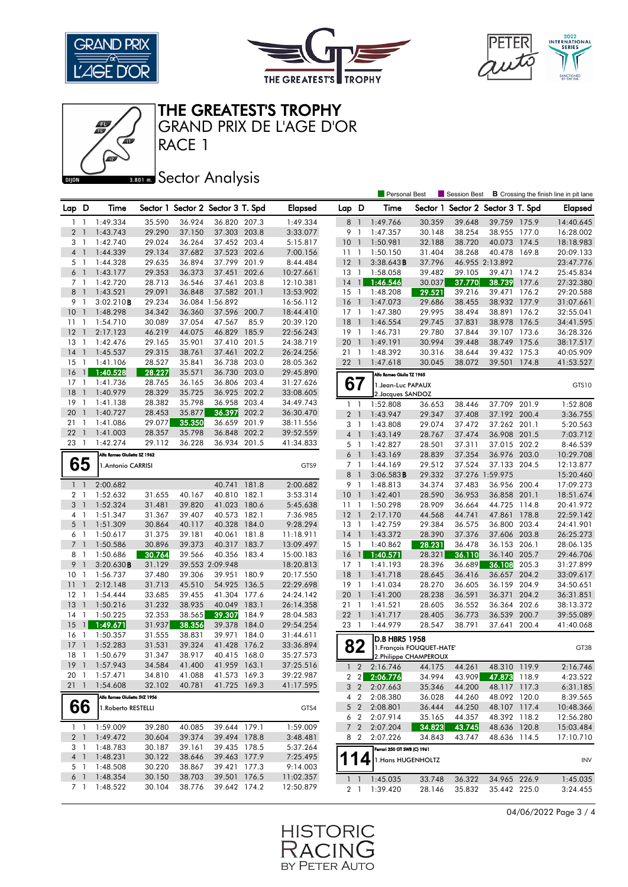





RACE 1 GRAND PRIX DE L'AGE D'OR

### **BRONES** Sector Analysis

|                 |                          |                               |        |        |                                   |       |                |                 |                | <b>Personal Best</b>          |        | <b>Session Best</b>               |                 |       | <b>B</b> Crossing the finish line in pit lane |
|-----------------|--------------------------|-------------------------------|--------|--------|-----------------------------------|-------|----------------|-----------------|----------------|-------------------------------|--------|-----------------------------------|-----------------|-------|-----------------------------------------------|
| Lap D           |                          | Time                          |        |        | Sector 1 Sector 2 Sector 3 T. Spd |       | <b>Elapsed</b> | Lap D           |                | Time                          |        | Sector 1 Sector 2 Sector 3 T. Spd |                 |       | <b>Elapsed</b>                                |
| $1\quad$        |                          | 1:49.334                      | 35.590 | 36.924 | 36.820 207.3                      |       | 1:49.334       | 8               | $\overline{1}$ | 1:49.766                      | 30.359 | 39.648                            | 39.759 175.9    |       | 14:40.645                                     |
| 2 <sub>1</sub>  |                          | 1:43.743                      | 29.290 | 37.150 | 37.303 203.8                      |       | 3:33.077       | 9               | $\overline{1}$ | 1:47.357                      | 30.148 | 38.254                            | 38.955 177.0    |       | 16:28.002                                     |
| 3 1             |                          | 1:42.740                      | 29.024 | 36.264 | 37.452 203.4                      |       | 5:15.817       | 10 <sub>1</sub> |                | 1:50.981                      | 32.188 | 38.720                            | 40.073 174.5    |       | 18:18.983                                     |
| $\overline{4}$  | $\overline{1}$           | 1:44.339                      | 29.134 | 37.682 | 37.523 202.6                      |       | 7:00.156       | 11              | -1             | 1:50.150                      | 31.404 | 38.268                            | 40.478          | 169.8 | 20:09.133                                     |
| 5 <sub>1</sub>  |                          | 1:44.328                      | 29.635 | 36.894 | 37.799 201.9                      |       | 8:44.484       | 12              | $\overline{1}$ | 3:38.643B                     | 37.796 |                                   | 46.955 2:13.892 |       | 23:47.776                                     |
| 6 <sup>1</sup>  |                          | 1:43.177                      | 29.353 | 36.373 | 37.451                            | 202.6 | 10:27.661      | 13              | $\overline{1}$ | 1:58.058                      | 39.482 | 39.105                            | 39.471 174.2    |       | 25:45.834                                     |
| 7 <sub>1</sub>  |                          | 1:42.720                      | 28.713 | 36.546 | 37.461 203.8                      |       | 12:10.381      | 14              | $\mathbf{1}$   | 1:46.546                      | 30.037 | 37.770                            | 38.739          | 177.6 | 27:32.380                                     |
| 8               | $\overline{1}$           | 1:43.521                      | 29.091 | 36.848 | 37.582 201.1                      |       | 13:53.902      | 15              | $\overline{1}$ | 1:48.208                      | 29.521 | 39.216                            | 39.471          | 176.2 | 29:20.588                                     |
| 9 1             |                          | 3:02.210B                     | 29.234 |        | 36.084 1:56.892                   |       | 16:56.112      | 16              | $\overline{1}$ | 1:47.073                      | 29.686 | 38.455                            | 38.932 177.9    |       | 31:07.661                                     |
| 10 <sup>°</sup> | $\overline{1}$           | 1:48.298                      | 34.342 | 36.360 | 37.596 200.7                      |       | 18:44.410      | $17-1$          |                | 1:47.380                      | 29.995 | 38.494                            | 38.891 176.2    |       | 32:55.041                                     |
| 11              | $\overline{1}$           | 1:54.710                      | 30.089 | 37.054 | 47.567                            | 85.9  | 20:39.120      | 18              | $\overline{1}$ | 1:46.554                      | 29.745 | 37.831                            | 38.978 176.5    |       | 34:41.595                                     |
| 12              | $\overline{1}$           | 2:17.123                      | 46.219 | 44.075 | 46.829                            | 185.9 | 22:56.243      | $19-1$          |                | 1:46.731                      | 29.780 | 37.844                            | 39.107 173.6    |       | 36:28.326                                     |
| 13              | -1                       | 1:42.476                      | 29.165 | 35.901 | 37.410                            | 201.5 | 24:38.719      | 20              | $\overline{1}$ | 1:49.191                      | 30.994 | 39.448                            | 38.749          | 175.6 | 38:17.517                                     |
| 14              | $\mathbf{1}$             | 1:45.537                      | 29.315 | 38.761 | 37.461                            | 202.2 | 26:24.256      | 211             |                | 1:48.392                      | 30.316 | 38.644                            | 39.432 175.3    |       | 40:05.909                                     |
| 15              | $\mathbf{1}$             | 1:41.106                      | 28.527 | 35.841 | 36.738 203.0                      |       | 28:05.362      | 221             |                | 1:47.618                      | 30.045 | 38.072                            | 39.501          | 174.8 | 41:53.527                                     |
| 16              | $\mathbf{1}$             | 1:40.528                      | 28.227 | 35.571 | 36.730                            | 203.0 | 29:45.890      |                 |                | Alfa Romeo Giulia TZ 1965     |        |                                   |                 |       |                                               |
| 17              | $\overline{1}$           | 1:41.736                      | 28.765 | 36.165 | 36.806 203.4                      |       | 31:27.626      | 67              |                | 1. Jean-Luc PAPAUX            |        |                                   |                 |       | GTS10                                         |
| 18              | $\mathbf{1}$             | 1:40.979                      | 28.329 | 35.725 | 36.925                            | 202.2 | 33:08.605      |                 |                | 2. Jacques SANDOZ             |        |                                   |                 |       |                                               |
| 19              | $\overline{1}$           | 1:41.138                      | 28.382 | 35.798 | 36.958 203.4                      |       | 34:49.743      | $1\quad$        |                | 1:52.808                      | 36.653 | 38.446                            | 37.709          | 201.9 | 1:52.808                                      |
| 20              | $\mathbf{1}$             | 1:40.727                      | 28.453 | 35.877 | 36.397                            | 202.2 | 36:30.470      | 2 <sub>1</sub>  |                | 1:43.947                      | 29.347 | 37.408                            | 37.192 200.4    |       | 3:36.755                                      |
| 21              | $\mathbf{1}$             | 1:41.086                      | 29.077 | 35.350 | 36.659                            | 201.9 | 38:11.556      | 3               | $\overline{1}$ | 1:43.808                      | 29.074 | 37.472                            | 37.262 201.1    |       | 5:20.563                                      |
| 22              | $\overline{1}$           | 1:41.003                      | 28.357 | 35.798 | 36.848                            | 202.2 | 39:52.559      | 4 <sup>1</sup>  |                | 1:43.149                      | 28.767 | 37.474                            | 36.908 201.5    |       | 7:03.712                                      |
| 23              | $\overline{\phantom{a}}$ | 1:42.274                      | 29.112 | 36.228 | 36.934 201.5                      |       | 41:34.833      | 5 1             |                | 1:42.827                      | 28.501 | 37.311                            | 37.015 202.2    |       | 8:46.539                                      |
|                 |                          | Alfa Romeo Giulietta SZ 1962  |        |        |                                   |       |                | $6-1$           |                | 1:43.169                      | 28.839 | 37.354                            | 36.976 203.0    |       | 10:29.708                                     |
| 65              |                          | 1. Antonio CARRISI            |        |        |                                   |       | GTS9           | 7 1             |                | 1:44.169                      | 29.512 | 37.524                            | 37.133 204.5    |       | 12:13.877                                     |
|                 |                          |                               |        |        |                                   |       |                | 8               | $\mathbb{J}$   | 3:06.583B                     | 29.332 |                                   | 37.276 1:59.975 |       | 15:20.460                                     |
| $1\quad$        |                          | 2:00.682                      |        |        | 40.741                            | 181.8 | 2:00.682       | 9 1             |                | 1:48.813                      | 34.374 | 37.483                            | 36.956 200.4    |       | 17:09.273                                     |
| 2 <sub>1</sub>  |                          | 1:52.632                      | 31.655 | 40.167 | 40.810 182.1                      |       | 3:53.314       | 10 <sub>1</sub> |                | 1:42.401                      | 28.590 | 36.953                            | 36.858 201.1    |       | 18:51.674                                     |
| 3 <sub>1</sub>  |                          | 1:52.324                      | 31.481 | 39.820 | 41.023 180.6                      |       | 5:45.638       | 11              | $\overline{1}$ | 1:50.298                      | 28.909 | 36.664                            | 44.725 114.8    |       | 20:41.972                                     |
| 4               | $\overline{1}$           | 1:51.347                      | 31.367 | 39.407 | 40.573                            | 182.1 | 7:36.985       | $12-1$          |                | 2:17.170                      | 44.568 | 44.741                            | 47.861          | 178.8 | 22:59.142                                     |
| 5 <sub>1</sub>  |                          | 1:51.309                      | 30.864 | 40.117 | 40.328                            | 184.0 | 9:28.294       | 13              | $\overline{1}$ | 1:42.759                      | 29.384 | 36.575                            | 36.800          | 203.4 | 24:41.901                                     |
| 6 1             |                          | 1:50.617                      | 31.375 | 39.181 | 40.061 181.8                      |       | 11:18.911      | $14-1$          |                | 1:43.372                      | 28.390 | 37.376                            | 37.606 203.8    |       | 26:25.273                                     |
| 7 <sup>1</sup>  |                          | 1:50.586                      | 30.896 | 39.373 | 40.317                            | 183.7 | 13:09.497      | 15              | $\overline{1}$ | 1:40.862                      | 28.231 | 36.478                            | 36.153          | 206.1 | 28:06.135                                     |
| 8 1             |                          | 1:50.686                      | 30.764 | 39.566 | 40.356                            | 183.4 | 15:00.183      | 16              | $\overline{1}$ | 1:40.571                      | 28.321 | 36.110                            | 36.140 205.7    |       | 29:46.706                                     |
| 9               | $\overline{1}$           | 3:20.630B                     | 31.129 |        | 39.553 2:09.948                   |       | 18:20.813      | 17              | $\overline{1}$ | 1:41.193                      | 28.396 | 36.689                            | 36.108          | 205.3 | 31:27.899                                     |
| 10              | $\mathbf{1}$             | 1:56.737                      | 37.480 | 39.306 | 39.951 180.9                      |       | 20:17.550      | 18              | $\overline{1}$ | 1:41.718                      | 28.645 | 36.416                            | 36.657 204.2    |       | 33:09.617                                     |
| 11              | $\mathbf{1}$             | 2:12.148                      | 31.713 | 45.510 | 54.925                            | 136.5 | 22:29.698      | $19-1$          |                | 1:41.034                      | 28.270 | 36.605                            | 36.159 204.9    |       | 34:50.651                                     |
| 12              | $\overline{1}$           | 1:54.444                      | 33.685 | 39.455 | 41.304                            | 177.6 | 24:24.142      | 20              | $\overline{1}$ | 1:41.200                      | 28.238 | 36.591                            | 36.371          | 204.2 | 36:31.851                                     |
| 13              | $\overline{1}$           | 1:50.216                      | 31.232 | 38.935 | 40.049                            | 183.1 | 26:14.358      | $21 \quad 1$    |                | 1:41.521                      | 28.605 | 36.552                            | 36.364 202.6    |       | 38:13.372                                     |
| 14              | $\overline{1}$           | 1:50.225                      | 32.353 | 38.565 | 39.307                            | 184.9 | 28:04.583      | $22 \quad 1$    |                | 1:41.717                      | 28.405 | 36.773                            | 36.539          | 200.7 | 39:55.089                                     |
| 15              | $\mathbf{1}$             | 1:49.671                      | 31.937 | 38.356 | 39.378                            | 184.0 | 29:54.254      | 23 1            |                | 1:44.979                      | 28.547 | 38.791                            | 37.641          | 200.4 | 41:40.068                                     |
| 16              | -1                       | 1:50.357                      | 31.555 | 38.831 | 39.971                            | 184.0 | 31:44.611      |                 |                | D.B HBR5 1958                 |        |                                   |                 |       |                                               |
| 17              | $\mathbf{1}$             | 1:52.283                      | 31.531 | 39.324 | 41.428                            | 176.2 | 33:36.894      | 82              |                | 1. François FOUQUET-HATE      |        |                                   |                 |       | GT3B                                          |
| 18 1            |                          | 1:50.679                      | 31.347 | 38.917 | 40.415 168.0                      |       | 35:27.573      |                 |                | 2. Philippe CHAMPEROUX        |        |                                   |                 |       |                                               |
|                 |                          | 19 1 1:57.943                 | 34.584 | 41.400 | 41.959 163.1                      |       | 37:25.516      |                 |                | $1 \quad 2 \quad 2:16.746$    | 44.175 | 44.261                            | 48.310 119.9    |       | 2:16.746                                      |
|                 |                          | 20 1 1:57.471                 | 34.810 | 41.088 | 41.573 169.3                      |       | 39:22.987      |                 |                | 2 2 2:06.776                  | 34.994 | 43.909                            | 47.873 118.9    |       | 4:23.522                                      |
| 211             |                          | 1:54.608                      | 32.102 | 40.781 | 41.725 169.3                      |       | 41:17.595      |                 |                | 3 2 2:07.663                  | 35.346 | 44.200                            | 48.117 117.3    |       | 6:31.185                                      |
|                 |                          | Alfa Romeo Giulietta SVZ 1956 |        |        |                                   |       |                |                 |                | 4 2 2:08.380                  | 36.028 | 44.260                            | 48.092 120.0    |       | 8:39.565                                      |
| 66              |                          | 1.Roberto RESTELLI            |        |        |                                   |       | GTS4           |                 |                | 5 2 2:08.801                  | 36.444 | 44.250                            | 48.107 117.4    |       | 10:48.366                                     |
|                 |                          |                               |        |        |                                   |       |                |                 | 6 2            | 2:07.914                      | 35.165 | 44.357                            | 48.392 118.2    |       | 12:56.280                                     |
|                 |                          | 1 1:59.009                    | 39.280 | 40.085 | 39.644 179.1                      |       | 1:59.009       |                 | $7\quad2$      | 2:07.204                      | 34.823 | 43.745                            | 48.636 120.8    |       | 15:03.484                                     |
|                 |                          | 2 1 1:49.472                  | 30.604 | 39.374 | 39.494 178.8                      |       | 3:48.481       |                 |                | 8 2 2:07.226                  | 34.843 | 43.747                            | 48.636 114.5    |       | 17:10.710                                     |
|                 |                          | 3 1 1:48.783                  | 30.187 | 39.161 | 39.435 178.5                      |       | 5:37.264       |                 |                | Ferrari 250 GT SWB (C) 1961   |        |                                   |                 |       |                                               |
|                 |                          | 4 1 1:48.231                  | 30.122 | 38.646 | 39.463 177.9                      |       | 7:25.495       |                 |                | 114 $\vert$ 1.Hans HUGENHOLTZ |        |                                   |                 |       | INV                                           |
|                 | 5 1                      | 1:48.508                      | 30.220 | 38.867 | 39.421 177.3                      |       | 9:14.003       |                 |                |                               |        |                                   |                 |       |                                               |
|                 |                          | 6 1 1:48.354                  | 30.150 | 38.703 | 39.501 176.5                      |       | 11:02.357      | $1\quad$        |                | 1:45.035                      | 33.748 | 36.322                            | 34.965 226.9    |       | 1:45.035                                      |
|                 |                          | 7 1 1:48.522                  | 30.104 | 38.776 | 39.642 174.2                      |       | 12:50.879      |                 |                | 2 1 1:39.420                  | 28.146 | 35.832                            | 35.442 225.0    |       | 3:24.455                                      |
|                 |                          |                               |        |        |                                   |       |                |                 |                |                               |        |                                   |                 |       |                                               |

04/06/2022 Page 3 / 4